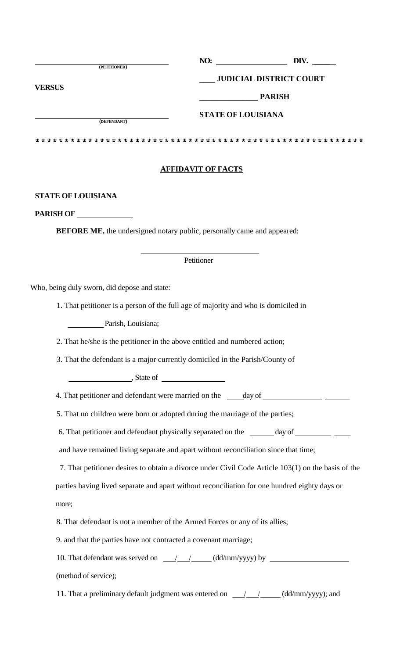|               | (PETITIONER) | NO: | DIV.                           |  |
|---------------|--------------|-----|--------------------------------|--|
| <b>VERSUS</b> |              |     | <b>JUDICIAL DISTRICT COURT</b> |  |
|               |              |     | <b>PARISH</b>                  |  |
|               | (DEFENDANT)  |     | <b>STATE OF LOUISIANA</b>      |  |
|               |              |     | * *<br>* *<br>* *<br>- 35      |  |

# **AFFIDAVIT OF FACTS**

## **STATE OF LOUISIANA**

**PARISH OF**

**BEFORE ME,** the undersigned notary public, personally came and appeared:

# Petitioner

Who, being duly sworn, did depose and state:

1. That petitioner is a person of the full age of majority and who is domiciled in

Parish, Louisiana;

2. That he/she is the petitioner in the above entitled and numbered action;

3. That the defendant is a major currently domiciled in the Parish/County of

 $\frac{1}{\sqrt{1-\frac{1}{\sqrt{1-\frac{1}{\sqrt{1-\frac{1}{\sqrt{1-\frac{1}{\sqrt{1-\frac{1}{\sqrt{1-\frac{1}{\sqrt{1-\frac{1}{\sqrt{1-\frac{1}{\sqrt{1-\frac{1}{\sqrt{1-\frac{1}{\sqrt{1-\frac{1}{\sqrt{1-\frac{1}{\sqrt{1-\frac{1}{\sqrt{1-\frac{1}{\sqrt{1-\frac{1}{\sqrt{1-\frac{1}{\sqrt{1-\frac{1}{\sqrt{1-\frac{1}{\sqrt{1-\frac{1}{\sqrt{1-\frac{1}{\sqrt{1-\frac{1}{\sqrt{1-\frac{1}{\sqrt{1-\frac{1}{\sqrt{1-\frac{1$ 

4. That petitioner and defendant were married on the day of

5. That no children were born or adopted during the marriage of the parties;

6. That petitioner and defendant physically separated on the \_\_\_\_\_\_ day of \_\_\_\_\_\_\_\_\_\_\_\_

and have remained living separate and apart without reconciliation since that time;

7. That petitioner desires to obtain a divorce under Civil Code Article 103(1) on the basis of the parties having lived separate and apart without reconciliation for one hundred eighty days or more;

8. That defendant is not a member of the Armed Forces or any of its allies;

9. and that the parties have not contracted a covenant marriage;

10. That defendant was served on  $\frac{1}{\sqrt{1-\frac{1}{\sqrt{1-\frac{1}{\sqrt{1-\frac{1}{\sqrt{1-\frac{1}{\sqrt{1-\frac{1}{\sqrt{1-\frac{1}{\sqrt{1-\frac{1}{\sqrt{1-\frac{1}{\sqrt{1-\frac{1}{\sqrt{1-\frac{1}{\sqrt{1-\frac{1}{\sqrt{1-\frac{1}{\sqrt{1-\frac{1}{\sqrt{1-\frac{1}{\sqrt{1-\frac{1}{\sqrt{1-\frac{1}{\sqrt{1-\frac{1}{\sqrt{1-\frac{1}{\sqrt{1-\frac{1}{\sqrt{1-\frac{1}{\sqrt$ 

(method of service);

11. That a preliminary default judgment was entered on  $\frac{1}{\sqrt{1-\frac{1}{1-\frac{1}{1-\frac{1}{1-\frac{1}{1-\frac{1}{1-\frac{1}{1-\frac{1}{1-\frac{1}{1-\frac{1}{1-\frac{1}{1-\frac{1}{1-\frac{1}{1-\frac{1}{1-\frac{1}{1-\frac{1}{1-\frac{1}{1-\frac{1}{1-\frac{1}{1-\frac{1}{1-\frac{1}{1-\frac{1}{1-\frac{1}{1-\frac{1}{1-\frac{1}{1-\frac{1}{1-\frac{1}{1$